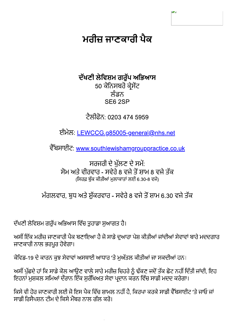# ਮਰੀਜ ਜਾਣਕਾਰੀ ਪੈਕ

### ਦੱਖਣੀ ਲੇਵਿਸ਼ਮ ਗਰੁੱਪ ਅਭਿਆਸ 50 ਕੋਨਿਸਬਰੋ ਕ੍ਰੇਸੇਂਟ ਲੰਡਨ SE6 2SP

<u> ਟੈਲੀਫੋਨ: 0203 474 5959</u>

ਈਮੇਲ: <u>LEWCCG.g85005-general@nhs.net</u>

ਵੈੱਬਸਾਈਟ: www.southlewishamgrouppractice.co.uk

ਸਰਜਰੀ ਦੇ ਖੱਲਣ ਦੇ ਸਮੇਂ: ਸੋਮ ਅਤੇ ਵੀਰਵਾਰ - ਸਵੇਰੇ 8 ਵਜੇ ਤੋਂ ਸ਼ਾਮ 8 ਵਜੇ ਤੱਕ (ਸਿਰਫ਼ ਬੱਕ ਕੀਤੀਆਂ ਮਲਾਕਾਤਾਂ ਲਈ 6.30-8 ਵਜੇ)

ਮੰਗਲਵਾਰ, ਬਧ ਅਤੇ ਸ਼ੱਕਰਵਾਰ - ਸਵੇਰੇ 8 ਵਜੇ ਤੋਂ ਸ਼ਾਮ 6.30 ਵਜੇ ਤੱਕ

ਦੱਖਣੀ ਲੇਵਿਸ਼ਮ ਗਰੁੱਪ ਅਭਿਆਸ ਵਿੱਚ ਤੁਹਾਡਾ ਸੁਆਗਤ ਹੈ।

ਅਸੀਂ ਇੱਕ ਮਰੀਜ਼ ਜਾਣਕਾਰੀ ਪੈਕ ਬਣਾਇਆ ਹੈ ਜੋ ਸਾਡੇ ਦੁਆਰਾ ਪੇਸ਼ ਕੀਤੀਆਂ ਜਾਂਦੀਆਂ ਸੇਵਾਵਾਂ ਬਾਰੇ ਮਦਦਗਾਰ ਜਾਣਕਾਰੀ ਨਾਲ ਭਰਪੂਰ ਹੋਵੇਗਾ।

ਕੋਵਿਡ-19 ਦੇ ਕਾਰਨ ਕੁਝ ਸੇਵਾਵਾਂ ਅਸਥਾਈ ਆਧਾਰ 'ਤੇ ਮਅੱਤਲ ਕੀਤੀਆਂ ਜਾ ਸਕਦੀਆਂ ਹਨ।

ਅਸੀਂ ਪੁੱਛਦੇ ਹਾਂ ਕਿ ਸਾਡੇ ਕੋਲ ਆਉਣ ਵਾਲੇ ਸਾਰੇ ਮਰੀਜ਼ ਚਿਹਰੇ ਨੂੰ ਢੱਕਣ ਜਦੋਂ ਤੱਕ ਛੋਟ ਨਹੀਂ ਦਿੱਤੀ ਜਾਂਦੀ, ਇਹ ਇਹਨਾਂ ਮੁਸ਼ਕਲ ਸਮਿਆਂ ਦੌਰਾਨ ਇੱਕ ਸੁਰੱਖਿਅਤ ਸੇਵਾ ਪ੍ਰਦਾਨ ਕਰਨ ਵਿੱਚ ਸਾਡੀ ਮਦਦ ਕਰੇਗਾ।

ਕਿਸੇ ਵੀ ਹੋਰ ਜਾਣਕਾਰੀ ਲਈ ਜੋ ਇਸ ਪੈਕ ਵਿੱਚ ਸ਼ਾਮਲ ਨਹੀਂ ਹੈ. ਕਿਰਪਾ ਕਰਕੇ ਸਾਡੀ ਵੈੱਬਸਾਈਟ 'ਤੇ ਜਾਓ ਜਾਂ ਸਾਡ਼ੀ ਰਿਸੈਪਸਨ ਟੀਮ ਦੇ ਕਿਸੇ ਮੈਂਬਰ ਨਾਲ ਗੱਲ ਕਰੋ।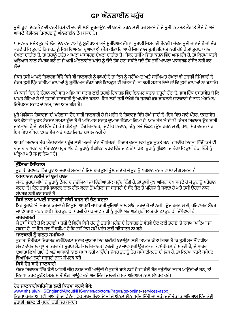## GP ਔਨਲਾਈਨ ਪਹੰਚ

ਤਸੀਂ ਹਣ ਇੰਟਰਨੈਟ ਦੀ ਵਰਤੋਂ ਕਿਸੇ ਵੀ ਦਵਾਈ ਲਈ ਦਹਰਾਉਣ ਦੀ ਬੇਨਤੀ ਕਰਨ ਲਈ ਕਰ ਸਕਦੇ ਹੋ ਜੋ ਤਸੀਂ ਨਿਯਮਤ ਤੌਰ 'ਤੇ ਲੈਂਦੇ ਹੋ ਅਤੇ ਆਪਣੇ ਮੈਡੀਕਲ ਰਿਕਾਰਡ ਨੰ ਔਨਲਾਈਨ ਦੇਖ ਸਕਦੇ ਹੋ।

ਪਾਸਵਰਡ ਸਮੇਤ ਤੁਹਾਡੇ ਲੌਗਇਨ ਵੇਰਵਿਆਂ ਨੂੰ ਸੁਰੱਖਿਅਤ ਅਤੇ ਸੁਰੱਖਿਅਤ ਰੱਖਣਾ ਤੁਹਾਡੀ ਜ਼ਿੰਮੇਵਾਰੀ ਹੋਵੇਗੀ। ਜੇਕਰ ਤੁਸੀਂ ਜਾਣਦੇ ਹੋ ਜਾਂ ਸ਼ੱਕ ਕਰਦੇ ਹੋ ਕਿ ਤੁਹਾਡੇ ਰਿਕਾਰਡ ਨੂੰ ਕਿਸੇ ਵਿਅਕਤੀ ਦੁਆਰਾ ਐਕਸੈਸ ਕੀਤਾ ਗਿਆ ਹੈ ਜਿਸ ਨਾਲ ਤੁਸੀਂ ਸਹਿਮਤ ਨਹੀਂ ਹੋਏ ਹੋ ਤਾਂ ਤੁਹਾਡਾ ਖਾਤਾ ਦੇਖਣਾ ਚਾਹੀਦਾ ਹੈ, ਤਾਂ ਤੁਹਾਨੂੰ ਤੁਰੰਤ ਆਪਣਾ ਪਾਸਵਰਡ ਦੇਖਣਾ ਚਾਹੀਦਾ ਹੈ। ਜੇਕਰ ਤੁਸੀਂ ਅਜਿਹਾ ਕਰਨ ਵਿੱਚ ਅਸਮਰੱਥ ਹੋ, ਤਾਂ ਕਿਰਪਾ ਕਰਕੇ ਅਭਿਆਸ ਨਾਲ ਸੰਪਰਕ ਕਰੋ ਤਾਂ ਜੋ ਅਸੀਂ ਔਨਲਾਈਨ ਪਹੰਚ ਨੰ ੳਦੋਂ ਤੱਕ ਹਟਾ ਸਕੀਏ ਜਦੋਂ ਤੱਕ ਤਸੀਂ ਆਪਣਾ ਪਾਸਵਰਡ ਰੀਸੈਟ ਨਹੀਂ ਕਰ ਲੈਂਦੇ।

ਜੇਕਰ ਤਸੀਂ ਆਪਣੇ ਰਿਕਾਰਡ ਵਿੱਚੋਂ ਕਿਸੇ ਵੀ ਜਾਣਕਾਰੀ ਨੂੰ ਛਾਪਦੇ ਹੋ ਤਾਂ ਇਸ ਨੂੰ ਸਰੱਖਿਅਤ ਅਤੇ ਸਰੱਖਿਅਤ ਰੱਖਣਾ ਵੀ ਤਹਾਡੀ ਜ਼ਿੰਮੇਵਾਰੀ ਹੈ। ਜੇਕਰ ਤਸੀਂ ਪਿੰਟ ਕੀਤੀਆਂ ਕਾਪੀਆਂ ਨੰ ਸਰੱਖਿਅਤ ਰੱਖਣ ਬਾਰੇ ਬਿਲਕਲ ਵੀ ਚਿੰਤਤ ਹੋ. ਤਾਂ ਅਸੀਂ ਸਲਾਹ ਦਿੰਦੇ ਹਾਂ ਕਿ ਤਸੀਂ ਕਾਪੀਆਂ ਨਾ ਬਣਾਓ।

ਕੰਮਕਾਜੀ ਦਿਨ ਦੇ ਦੌਰਾਨ ਕਈ ਵਾਰ ਅਭਿਆਸ ਸਟਾਫ ਲਈ ਤਹਾਡੇ ਰਿਕਾਰਡ ਵਿੱਚ ਇਨਪਟ ਕਰਨਾ ਜ਼ਰੂਰੀ ਹੰਦਾ ਹੈ, ਭਾਵ ਇੱਕ ਦਸਤਾਵੇਜ਼ ਜੋ ਕਿ ਪਾਪਤ ਹੋਇਆ ਹੈ ਜਾਂ ਤਹਾਡੀ ਜਾਣਕਾਰੀ ਨੰ ਅਪਡੇਟ ਕਰਨਾ। ਇਸ ਲਈ ਤਸੀਂ ਦੇਖੋਗੇ ਕਿ ਤਹਾਡੀ ਕੁਝ ਡਾਕਟਰੀ ਜਾਣਕਾਰੀ ਦੇ ਨਾਲ ਐਡਮਿਨ/ ਰਿਸੈਪਸ਼ਨ ਸਟਾਫ ਦੇ ਨਾਮ. ਇਹ ਆਮ ਗੱਲ ਹੈ।

ਪੂਰੇ ਮੈਡੀਕਲ ਰਿਕਾਰਡਾਂ ਦੀ ਪਰਿਭਾਸ਼ਾ ੳਹ ਸਾਰੀ ਜਾਣਕਾਰੀ ਹੈ ਜੋ ਮਰੀਜ਼ ਦੇ ਰਿਕਾਰਡ ਵਿੱਚ ਰੱਖੀ ਜਾਂਦੀ ਹੈ (ਇਸ ਵਿੱਚ ਸਾਰੇ ਪੱਤਰ, ਦਸਤਾਵੇਜ਼ ਅਤੇ ਕੋਈ ਵੀ ਮਫਤ ਟੈਕਸਟ ਸ਼ਾਮਲ ਹੰਦਾ ਹੈ ਜੋ ਅਭਿਆਸ ਸਟਾਫ਼ ਦਆਰਾ ਜੋੜਿਆ ਗਿਆ ਹੈ, ਆਮ ਤੌਰ 'ਤੇ ਜੀ.ਪੀ. ਕੋਡਡ ਰਿਕਾਰਡ ੳਹ ਸਾਰੀ ਜਾਣਕਾਰੀ ਹੈ ਜੋ ਇਸ ਵਿੱਚ ਹੈ। ਕੋਡ ਕੀਤੇ ਰੂਪ ਵਿੱਚ ਰਿਕਾਰਡ, ਜਿਵੇਂ ਕਿ ਨਿਦਾਨ, ਚਿੰਨ ਅਤੇ ਲੱਛਣ (ਉਦਾਹਰਨ ਲਈ, ਖੰਘ, ਸਿਰ ਦਰਦ) ਪਰ ਇਸ ਵਿੱਚ ਅੱਖਰ. ਦਸਤਾਵੇਜ਼ ਅਤੇ ਮਫ਼ਤ ਲਿਖਤ ਸ਼ਾਮਲ ਨਹੀਂ ਹੈ।

ਆਪਣੇ ਰਿਕਾਰਡ ਤੱਕ ਔਨਲਾਈਨ ਪਹੰਚ ਲਈ ਅਰਜ਼ੀ ਦੇਣ ਤੋਂ ਪਹਿਲਾਂ, ਵਿਚਾਰ ਕਰਨ ਲਈ ਕਝ ਨਕਤੇ ਹਨ। ਹਾਲਾਂਕਿ ਇਹਨਾਂ ਵਿੱਚੋਂ ਕਿਸੇ ਵੀ ਚੀਜ਼ ਦੇ ਵਾਪਰਨ ਦੀ ਸੰਭਾਵਨਾ ਬਹੁਤ ਘੱਟ ਹੈ, ਤੁਹਾਨੂੰ ਲੌਗਇਨ ਵੇਰਵੇ ਦਿੱਤੇ ਜਾਣ ਤੋਂ ਪਹਿਲਾਂ ਤੁਹਾਨੂੰ ਪੁੱਛਿਆ ਜਾਵੇਗਾ ਕਿ ਤੁਸੀਂ ਹੇਠਾਂ ਦਿੱਤੇ ਨੂੰ ਪੜਿਆ ਅਤੇ ਸਮਝ ਲਿਆ ਹੈ।

### ਭੱਲਿਆ ਇਤਿਹਾਸ

ਤੁਹਾਡੇ ਰਿਕਾਰਡ ਵਿੱਚ ਕੁਝ ਅਜਿਹਾ ਹੋ ਸਕਦਾ ਹੈ ਜਿਸ ਬਾਰੇ ਤੁਸੀਂ ਭੱਲ ਗਏ ਹੋ ਜੋ ਤੁਹਾਨੂੰ ਪਰੇਸ਼ਾਨ ਕਰਨ ਵਾਲਾ ਲੱਗ ਸਕਦਾ ਹੈ

### ਅਸਧਾਰਨ ਨਤੀਜੇ ਜਾਂ ਬਰੀ ਖ਼ਬਰ

ਜੇਕਰ ਤਹਾਡੇ ਜੀਪੀ ਨੇ ਤਹਾਨੂੰ ਟੈਸਟ ਦੇ ਨਤੀਜਿਆਂ ਜਾਂ ਚਿੱਠੀਆਂ ਤੱਕ ਪਹੰਚ ਦਿੱਤੀ ਹੈ, ਤਾਂ ਤਸੀਂ ਕੁਝ ਅਜਿਹਾ ਦੇਖ ਸਕਦੇ ਹੋ ਜੋ ਤਹਾਨੂੰ ਪਰੇਸ਼ਾਨ ਕਰਦਾ ਹੈ। ਇਹ ਤਹਾਡੇ ਡਾਕਟਰ ਨਾਲ ਗੱਲ ਕਰਨ ਤੋਂ ਪਹਿਲਾਂ ਜਾਂ ਸਰਜਰੀ ਦੇ ਬੰਦ ਹੋਣ ਤੋਂ ਪਹਿਲਾਂ ਹੋ ਸਕਦਾ ਹੈ ਅਤੇ ਤਸੀਂ ੳਹਨਾਂ ਨਾਲ ਸੰਪਰਕ ਨਹੀਂ ਕਰ ਸਕਦੇ ਹੋ।

### ਕਿਸੇ ਨਾਲ ਆਪਣੀ ਜਾਣਕਾਰੀ ਸਾਂਝੀ ਕਰਨ ਦੀ ਚੋਣ ਕਰਨਾ

ਇਹ ਤਹਾਡੇ 'ਤੇ ਨਿਰਭਰ ਕਰਦਾ ਹੈ ਕਿ ਤਸੀਂ ਆਪਣੀ ਜਾਣਕਾਰੀ ਦੂਜਿਆਂ ਨਾਲ ਸਾਂਝੀ ਕਰਦੇ ਹੋ ਜਾਂ ਨਹੀਂ - ਉਦਾਹਰਨ ਲਈ, ਪਰਿਵਾਰਕ ਮੈਂਬਰ ਜਾਂ ਦੇਖਭਾਲ ਕਰਨ ਵਾਲੇ। ਇਹ ਤਹਾਡੀ ਮਰਜ਼ੀ ਹੈ ਪਰ ਜਾਣਕਾਰੀ ਨੰ ਸਰੱਖਿਅਤ ਅਤੇ ਸਰੱਖਿਅਤ ਰੱਖਣਾ ਤਹਾਡੀ ਜ਼ਿੰਮੇਵਾਰੀ ਹੈ

#### ਜ਼ਬਰਦਸਤੀ

ਜੇ ਤੁਸੀਂ ਸੋਚਦੇ ਹੋ ਕਿ ਤੁਹਾਡੀ ਮਰਜ਼ੀ ਦੇ ਵਿਰੁੱਧ ਕਿਸੇ ਹੋਰ ਨੂੰ ਤੁਹਾਡੇ ਮਰੀਜ਼ ਦੇ ਰਿਕਾਰਡ ਤੋਂ ਵੇਰਵੇ ਦੇਣ ਲਈ ਤੁਹਾਡੇ 'ਤੇ ਦਬਾਅ ਪਾਇਆ ਜਾ ਸਕਦਾ ਹੈ, ਤਾਂ ਇਹ ਸਭ ਤੋਂ ਵਧੀਆ ਹੈ ਕਿ ਤੁਸੀਂ ਇਸ ਸਮੇਂ ਪਹੁੰਚ ਲਈ ਰਜਿਸਟਰ ਨਾ ਕਰੋ।

#### ਜਾਣਕਾਰੀ ਨੰ ਗਲਤ ਸਮਝਿਆ

ਤਹਾਡਾ ਮੈਡੀਕਲ ਰਿਕਾਰਡ ਕਲੀਨਿਕਲ ਸਟਾਫ ਦਆਰਾ ਇਹ ਯਕੀਨੀ ਬਣਾੳਣ ਲਈ ਤਿਆਰ ਕੀਤਾ ਗਿਆ ਹੈ ਕਿ ਤਸੀਂ ਸਭ ਤੋਂ ਵਧੀਆ ਸੰਭਵ ਦੇਖਭਾਲ ਪਾਪਤ ਕਰਦੇ ਹੋ। ਤਹਾਡੇ ਮੈਡੀਕਲ ਰਿਕਾਰਡ ਵਿਚਲੀ ਕਝ ਜਾਣਕਾਰੀ ਉੱਚ ਤਕਨੀਕੀ/ਮੈਡੀਕਲ ਹੋ ਸਕਦੀ ਹੈ, ਜੋ ਮਾਹਰ ਦੁਆਰਾ ਲਿਖੀ ਗਈ ਹੈ ਅਤੇ ਆਸਾਨੀ ਨਾਲ ਸਮਝ ਨਹੀਂ ਆਉਂਦੀ। ਜੇਕਰ ਤਹਾਨੰ ਹੋਰ ਸਪੱਸ਼ਟੀਕਰਨ ਦੀ ਲੋੜ ਹੈ. ਤਾਂ ਕਿਰਪਾ ਕਰਕੇ ਸਪੱਸ਼ਟ ਵਿਆਖਿਆ ਲਈ ਸਰਜਰੀ ਨਾਲ ਸੰਪਰਕ ਕਰੋ।

### ਕਿਸੇ ਹੋਰ ਬਾਰੇ ਜਾਣਕਾਰੀ

ਜੇਕਰ ਰਿਕਾਰਡ ਵਿੱਚ ਕੋਈ ਅਜਿਹੀ ਚੀਜ਼ ਨਜ਼ਰ ਨਹੀਂ ਆਉਂਦੀ ਜੋ ਤਹਾਡੇ ਬਾਰੇ ਨਹੀਂ ਹੈ ਜਾਂ ਕੋਈ ਹੋਰ ਤਰੱਟੀਆਂ ਨਜ਼ਰ ਆਉਂਦੀਆਂ ਹਨ. ਤਾਂ ਕਿਰਪਾ ਕਰਕੇ ਤਰੰਤ ਸਿਸਟਮ ਤੋਂ ਲੌਗ ਆਉਟ ਕਰੋ ਅਤੇ ਜਿੰਨੀ ਜਲਦੀ ਹੋ ਸਕੇ ਅਭਿਆਸ ਨਾਲ ਸੰਪਰਕ ਕਰੋ।

### ਹੋਰ ਜਾਣਕਾਰੀ/ਸਹਿਯੋਗ ਲਈ ਕਿਰਪਾ ਕਰਕੇ ਵੇਖੋ:

www.nhs.uk/NHSEngland/AboutNHServies/doctors/Pages/gp-online-services-aspx ਕਿਰਪਾ ਕਰਕੇ ਆਪਣੀ ਆਈਡੀ ਦਾ ਫੋਟੋਗ੍ਰਾਫਿ਼ਕ ਸਬੂਤ ਲਿਆਓ ਤਾਂ ਜੋ ਔਨਲਾਈਨ ਪਹੰਚ ਦਿੱਤੀ ਜਾ ਸਕੇ (ਜਦੋਂ ਤੱਕ ਕਿ ਅਭਿਆਸ ਵਿੱਚ ਕੋਈ ਤਹਾਡੀ ਪਛਾਣ ਦੀ ਪਸ਼ਟੀ ਨਹੀਂ ਕਰ ਸਕਦਾ)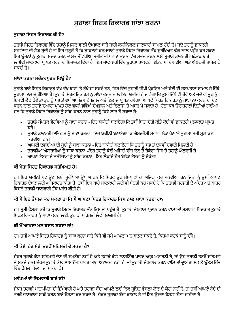## ਤੁਹਾਡਾ ਸਿਹਤ ਰਿਕਾਰਡ ਸਾਂਝਾ ਕਰਨਾ

### ਤਹਾਡਾ ਸਿਹਤ ਰਿਕਾਰਡ ਕੀ ਹੈ?

ਤਹਾਡੇ ਸਿਹਤ ਰਿਕਾਰਡ ਵਿੱਚ ਤਹਾਨੂੰ ਮਿਲਣ ਵਾਲੀ ਦੇਖਭਾਲ ਬਾਰੇ ਸਾਰੀ ਕਲੀਨਿਕਲ ਜਾਣਕਾਰੀ ਸ਼ਾਮਲ ਹੰਦੀ ਹੈ। ਜਦੋਂ ਤਹਾਨੂੰ ਡਾਕਟਰੀ ਸਹਾਇਤਾ ਦੀ ਲੋੜ ਹੰਦੀ ਹੈ ਤਾਂ ਇਹ ਜ਼ਰਰੀ ਹੈ ਕਿ ਡਾਕਟਰੀ ਕਰਮਚਾਰੀ ਤਹਾਡੇ ਸਿਹਤ ਰਿਕਾਰਡ ਤੱਕ ਸਰੱਖਿਅਤ ਢੰਗ ਨਾਲ ਪਹੰਚ ਕਰ ਸਕਣ। ਇਹ ੳਹਨਾਂ ਨੂੰ ਤਹਾਡੀ ਮਦਦ ਕਰਨ ਦੇ ਸਭ ਤੋਂ ਵਧੀਆ ਤਰੀਕੇ ਦੀ ਪਛਾਣ ਕਰਨ ਵਿੱਚ ਮਦਦ ਕਰਨ ਲਈ ਤਹਾਡੇ ਡਾਕਟਰੀ ਪਿਛੋਕੜ ਬਾਰੇ ਲੋੜੀਂਦੀ ਜਾਣਕਾਰੀ ਪ੍ਰਾਪਤ ਕਰਨ ਦੀ ਇਜਾਜ਼ਤ ਦਿੰਦਾ ਹੈ। ਇਸ ਜਾਣਕਾਰੀ ਵਿੱਚ ਤੁਹਾਡਾ ਡਾਕਟਰੀ ਇਤਿਹਾਸ, ਦਵਾਈਆਂ ਅਤੇ ਐਲਰਜੀ ਸ਼ਾਮਲ ਹੋ ਸਕਦੀ ਹੈ।

### ਸਾਂਝਾ ਕਰਨਾ ਮਹੱਤਵਪਰਨ ਕਿੳਂ ਹੈ?

ਤਹਾਡੇ ਬਾਰੇ ਸਿਹਤ ਰਿਕਾਰਡ ਵੱਖ-ਵੱਖ ਥਾਵਾਂ 'ਤੇ ਰੱਖੇ ਜਾ ਸਕਦੇ ਹਨ. ਜਿਸ ਵਿੱਚ ਤਹਾਡੀ ਜੀਪੀ ਪੈਕਟਿਸ ਅਤੇ ਕੋਈ ਵੀ ਹਸਪਤਾਲ ਸ਼ਾਮਲ ਹੈ ਜਿੱਥੇ ਤਹਾਡਾ ਇਲਾਜ ਹੋਇਆ ਹੈ। ਤਹਾਡੇ ਸਿਹਤ ਰਿਕਾਰਡ ਨੂੰ ਸਾਂਝਾ ਕਰਨ ਨਾਲ ਇਹ ਯਕੀਨੀ ਹੋ ਜਾਵੇਗਾ ਕਿ ਤਸੀਂ ਜਿੱਥੇ ਵੀ ਹੋਵੋ ਅਤੇ ਜਦੋਂ ਵੀ ਤਹਾਨੂੰ ਇਸਦੀ ਲੋੜ ਹੋਵੇ ਤਾਂ ਤੁਹਾਨੂੰ ਸਭ ਤੋਂ ਵਧੀਆ ਸੰਭਵ ਦੇਖਭਾਲ ਅਤੇ ਇਲਾਜ ਪਾਪਤ ਹੋਵੇਗਾ। ਆਪਣੇ ਸਿਹਤ ਰਿਕਾਰਡ ਨੂੰ ਸਾਂਝਾ ਨਾ ਕਰਨ ਦੀ ਚੋਣ ਕਰਨ ਨਾਲ ਤਹਾਡੇ ਦੁਆਰਾ ਪਾਪਤ ਹੋਣ ਵਾਲੀ ਭਵਿੱਖੀ ਦੇਖਭਾਲ ਅਤੇ ਇਲਾਜ 'ਤੇ ਅਸਰ ਪੈ ਸਕਦਾ ਹੈ। ਹੇਠਾਂ ਕੁਝ ਉਦਾਹਰਣਾਂ ਦਿੱਤੀਆਂ ਗਈਆਂ ਹਨ ਕਿ ਤਹਾਡੇ ਸਿਹਤ ਰਿਕਾਰਡ ਨੰ ਸਾਂਝਾ ਕਰਨ ਨਾਲ ਤਹਾਨੰ ਕਿਵੇਂ ਲਾਭ ਹੋ ਸਕਦਾ ਹੈ:

- ਤੁਹਾਡੇ ਸੰਪਰਕ ਵੇਰਵਿਆਂ ਨੂੰ ਸਾਂਝਾ ਕਰਨਾ ਇਹ ਯਕੀਨੀ ਬਣਾਏਗਾ ਕਿ ਤੁਸੀਂ ਬਿਨਾਂ ਦੇਰੀ ਕੀਤੇ ਕੋਈ ਵੀ ਡਾਕਟਰੀ ਮਲਾਕਾਤ ਪਾਪਤ  $\bullet$ ਕਰੋ।
- ਤੁਹਾਡੇ ਡਾਕਟਰੀ ਇਤਿਹਾਸ ਨੂੰ ਸਾਂਝਾ ਕਰਨਾ ਇਹ ਯਕੀਨੀ ਬਣਾਏਗਾ ਕਿ ਐਮਰਜੈਂਸੀ ਸੇਵਾਵਾਂ ਲੋੜ ਪੈਣ 'ਤੇ ਤੁਹਾਡਾ ਸਹੀ ਮੁਲਾਂਕਣ ਕਰਦੀਆਂ ਹਨ।
- ਆਪਣੀ ਦਵਾਈਆਂ ਦੀ ਸੂਚੀ ਨੂੰ ਸਾਂਝਾ ਕਰਨਾ ਇਹ ਯਕੀਨੀ ਬਣਾਏਗਾ ਕਿ ਤੁਹਾਨੂੰ ਸਭ ਤੋਂ ਢੁਕਵੀਂ ਦਵਾਈ ਮਿਲਦੀ ਹੈ।
- ਤੁਹਾਡੀਆਂ ਐਲਰਜੀਆਂ ਨੂੰ ਸਾਂਝਾ ਕਰਨਾ -ਇਹ ਤੁਹਾਨੂੰ ਕੋਈ ਅਜਿਹੀ ਚੀਜ਼ ਦੇਣ ਤੋਂ ਰੋਕੇਗਾ ਜਿਸ ਤੋਂ ਤੁਹਾਨੂੰ ਐਲਰਜੀ ਹੈ।
- ਆਪਣੇ ਟੈਸਟਾਂ ਦੇ ਨਤੀਜਿਆਂ ਨੂੰ ਸਾਂਝਾ ਕਰਨਾ ਇਹ ਲੋੜੀਂਦੇ ਹੋਰ ਬੇਲੋੜੇ ਟੈਸਟਾਂ ਨੂੰ ਰੋਕੇਗਾ।

#### ਕੀ ਮੇਰਾ ਸਿਹਤ ਰਿਕਾਰਡ ਸਰੱਖਿਅਤ ਹੈ?

ਹਾਂ। ਇਹ ਯਕੀਨੀ ਬਣਾਉਣ ਲਈ ਸਰੱਖਿਆ ਉਪਾਅ ਹਨ ਕਿ ਸਿਰਫ਼ ਉਹ ਸੰਸਥਾਵਾਂ ਹੀ ਅਜਿਹਾ ਕਰ ਸਕਦੀਆਂ ਹਨ ਜਿਨ੍ਹਾਂ ਨੂੰ ਤੁਸੀਂ ਆਪਣੇ ਰਿਕਾਰਡ ਦੇਖਣ ਲਈ ਅਧਿਕਾਰਤ ਕੀਤਾ ਹੈ। ਤਸੀਂ ਇਸ ਬਾਰੇ ਜਾਣਕਾਰੀ ਲਈ ਵੀ ਬੇਨਤੀ ਕਰ ਸਕਦੇ ਹੋ ਕਿ ਤਹਾਡੀ ਸਰਜਰੀ ਦੇ ਅੰਦਰ ਅਤੇ ਬਾਹਰ ਕਿਸਨੇ ਤਹਾਡੀ ਜਾਣਕਾਰੀ ਤੱਕ ਪਹੰਚ ਕੀਤੀ ਹੈ।

### ਕੀ ਮੈਂ ਇਹ ਫੈਸਲਾ ਕਰ ਸਕਦਾ ਹਾਂ ਕਿ ਮੈਂ ਆਪਣਾ ਸਿਹਤ ਰਿਕਾਰਡ ਕਿਸ ਨਾਲ ਸਾਂਝਾ ਕਰਦਾ ਹਾਂ?

ਹਾਂ। ਤਸੀਂ ਫੈਸਲਾ ਕਰੋ ਕਿ ਤਹਾਡੇ ਸਿਹਤ ਰਿਕਾਰਡ ਤੱਕ ਕਿਸ ਦੀ ਪਹੰਚ ਹੈ। ਤਹਾਡੀ ਦੇਖਭਾਲ ਪਦਾਨ ਕਰਨ ਵਾਲੀਆਂ ਸੰਸਥਾਵਾਂ ਵਿਚਕਾਰ ਤਹਾਡੇ ਸਿਹਤ ਰਿਕਾਰਡ ਨੰ ਸਾਂਝਾ ਕਰਨ ਲਈ. ਤਹਾਡੀ ਸਹਿਮਤੀ ਲੈਣੀ ਲਾਜ਼ਮੀ ਹੈ।

#### ਕੀ ਮੈਂ ਆਪਣਾ ਮਨ ਬਦਲ ਸਕਦਾ ਗਾਂ?

ਹਾਂ। ਤਸੀਂ ਆਪਣੇ ਸਿਹਤ ਰਿਕਾਰਡ ਨੂੰ ਸਾਂਝਾ ਕਰਨ ਬਾਰੇ ਕਿਸੇ ਵੀ ਸਮੇਂ ਆਪਣਾ ਮਨ ਬਦਲ ਸਕਦੇ ਹੋ. ਕਿਰਪਾ ਕਰਕੇ ਸਾਨੂੰ ਦੱਸੋ।

### ਕੀ ਕੋਈ ਹੋਰ ਮੇਰੀ ਤਰਫੋਂ ਸਹਿਮਤੀ ਦੇ ਸਕਦਾ ਹੈ?

ਜੇਕਰ ਤਹਾਡੇ ਕੋਲ ਸਹਿਮਤੀ ਦੇਣ ਦੀ ਸਮਰੱਥਾ ਨਹੀਂ ਹੈ ਅਤੇ ਤਹਾਡੇ ਕੋਲ ਲਾਸਟਿੰਗ ਪਾਵਰ ਆਫ਼ ਅਟਾਰਨੀ ਹੈ. ਤਾਂ ੳਹ ਤਹਾਡੀ ਤਰਫ਼ੋਂ ਸਹਿਮਤੀ ਦੇ ਸਕਦੇ ਹਨ। ਜੇਕਰ ਤਹਾਡੇ ਕੋਲ ਲਾਸਟਿੰਗ ਪਾਵਰ ਆਫ ਅਟਾਰਨੀ ਨਹੀਂ ਹੈ. ਤਾਂ ਤਹਾਡੀ ਦੇਖਭਾਲ ਕਰਨ ਵਾਲਿਆਂ ਦਆਰਾ ਸਭ ਤੋਂ ਉੱਤਮ ਹਿੱਤ ਵਿੱਚ ਫੈਸਲਾ ਲਿਆ ਜਾ ਸਕਦਾ ਹੈ।

### ਮਾਪਿਆਂ ਦੀ ਜ਼ਿੰਮੇਵਾਰੀ ਬਾਰੇ ਕੀ?

ਜੇਕਰ ਤਹਾਡੀ ਮਾਤਾ-ਪਿਤਾ ਦੀ ਜ਼ਿੰਮੇਵਾਰੀ ਹੈ ਅਤੇ ਤਹਾਡਾ ਬੱਚਾ ਆਪਣੇ ਲਈ ਇੱਕ ਸਚਿਤ ਫੈਸਲਾ ਲੈਣ ਦੇ ਯੋਗ ਨਹੀਂ ਹੈ. ਤਾਂ ਤਸੀਂ ਆਪਣੇ ਬੱਚੇ ਦੀ ਤਰਫੋਂ ਜਾਣਕਾਰੀ ਸਾਂਝੀ ਕਰਨ ਬਾਰੇ ਫੈਸਲਾ ਕਰ ਸਕਦੇ ਹੋ। ਜੇਕਰ ਤਹਾਡਾ ਬੱਚਾ ਕਾਬਲ ਹੈ ਤਾਂ ਇਹ ੳਸਦਾ ਫੈਸਲਾ ਹੋਣਾ ਚਾਹੀਦਾ ਹੈ।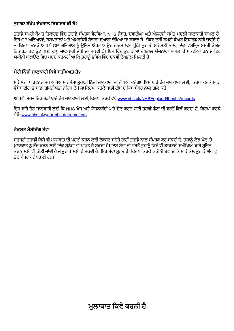### ਤਹਾਡਾ ਸੰਖੇਪ ਦੇਖਭਾਲ ਰਿਕਾਰਡ ਕੀ ਹੈ?

ਤੁਹਾਡੇ ਸਮਰੀ ਕੇਅਰ ਰਿਕਾਰਡ ਵਿੱਚ ਤੁਹਾਡੇ ਸੰਪਰਕ ਵੇਰਵਿਆਂ, NHS ਨੰਬਰ, ਦਵਾਈਆਂ ਅਤੇ ਐਲਰਜੀ ਸਮੇਤ ਮੁਢਲੀ ਜਾਣਕਾਰੀ ਸ਼ਾਮਲ ਹੈ। ਇਹ GP ਅਭਿਆਸਾਂ, ਹਸਪਤਾਲਾਂ ਅਤੇ ਐਮਰਜੈਂਸੀ ਸੇਵਾਵਾਂ ਦਆਰਾ ਦੇਖਿਆ ਜਾ ਸਕਦਾ ਹੈ। ਜੇਕਰ ਤਸੀਂ ਸਮਰੀ ਕੇਅਰ ਰਿਕਾਰਡ ਨਹੀਂ ਚਾਹੰਦੇ ਹੋ, ਤਾਂ ਕਿਰਪਾ ਕਰਕੇ ਆਪਣੇ GP ਅਭਿਆਸ ਨੂੰ ੳਚਿਤ ਔਪਟ-ਆਉਟ ਫਾਰਮ ਲਈ ਪੱਛੋ। ਤਹਾਡੀ ਸਹਿਮਤੀ ਨਾਲ, ਇੱਕ ਵਿਸਤਿਤ ਸਮਰੀ ਕੇਅਰ ਰਿਕਾਰਡ ਬਣਾਉਣ ਲਈ ਵਾਧ ਜਾਣਕਾਰੀ ਜੋੜੀ ਜਾ ਸਕਦੀ ਹੈ। ਇਸ ਵਿੱਚ ਤਹਾਡੀਆਂ ਦੇਖਭਾਲ ਯੋਜਨਾਵਾਂ ਸ਼ਾਮਲ ਹੋ ਸਕਦੀਆਂ ਹਨ ਜੋ ਇਹ ਯਕੀਨੀ ਬਣਾੳਣ ਵਿੱਚ ਮਦਦ ਕਰਨਗੀਆਂ ਕਿ ਤਹਾਨੂੰ ਭਵਿੱਖ ਵਿੱਚ ਢਕਵੀਂ ਦੇਖਭਾਲ ਮਿਲਦੀ ਹੈ।

### ਮੇਰੀ ਨਿੱਜੀ ਜਾਣਕਾਰੀ ਕਿਵੇਂ ਸਰੱਖਿਅਤ ਹੈ?

ਮੋਡੈਲਿਟੀ ਪਾਰਟਨਰਸ਼ਿਪ ਅਭਿਆਸ ਹਮੇਸ਼ਾ ਤੁਹਾਡੀ ਨਿੱਜੀ ਜਾਣਕਾਰੀ ਦੀ ਰੱਖਿਆ ਕਰੇਗਾ। ਇਸ ਬਾਰੇ ਹੋਰ ਜਾਣਕਾਰੀ ਲਈ, ਕਿਰਪਾ ਕਰਕੇ ਸਾਡੀ ਵੈੱਬਸਾਈਟ 'ਤੇ ਸਾਡਾ ਗੋਪਨੀਯਤਾ ਨੋਟਿਸ ਦੇਖੋ ਜਾਂ ਕਿਰਪਾ ਕਰਕੇ ਸਾਡੀ ਟੀਮ ਦੇ ਕਿਸੇ ਮੈਂਬਰ ਨਾਲ ਗੱਲ ਕਰੋ।

ਆਪਣੇ ਸਿਹਤ ਰਿਕਾਰਡਾਂ ਬਾਰੇ ਹੋਰ ਜਾਣਕਾਰੀ ਲਈ, ਕਿਰਪਾ ਕਰਕੇ ਵੇਖੋ www.nhs.uk/NHSEngland/thenhs/records

ਇਸ ਬਾਰੇ ਹੋਰ ਜਾਣਕਾਰੀ ਲਈ ਕਿ NHS ਖੋਜ ਅਤੇ ਯੋਜਨਾਬੰਦੀ ਅਤੇ ਚੋਣ ਕਰਨ ਲਈ ਤਹਾਡੇ ਡੇਟਾ ਦੀ ਵਰਤੋਂ ਕਿਵੇਂ ਕਰਦਾ ਹੈ. ਕਿਰਪਾ ਕਰਕੇ ਵੇਖੋ: www.nhs.uk/vour-nhs-data-matters

### ਟੈਕਸਟ ਮੈਸੇਜਿੰਗ ਸੇਵਾ

ਸਰਜਰੀ ਤਹਾਡੀ ਕਿਸੇ ਵੀ ਮਲਾਕਾਤ ਦੀ ਪਸ਼ਟੀ ਕਰਨ ਲਈ ਟੈਕਸਟ ਸਨੇਹੇ ਰਾਹੀਂ ਤਹਾਡੇ ਨਾਲ ਸੰਪਰਕ ਕਰ ਸਕਦੀ ਹੈ. ਤਹਾਨੰ ਲੋੜ ਪੈਣ 'ਤੇ ਮਲਾਕਾਤ ਨੂੰ ਰੱਦ ਕਰਨ ਲਈ ਇੱਕ ਸਨੇਹਾ ਵੀ ਪਾਪਤ ਹੋ ਸਕਦਾ ਹੈ। ਇਸ ਸੇਵਾ ਦੀ ਵਰਤੋਂ ਤਹਾਨੂੰ ਕਿਸੇ ਵੀ ਡਾਕਟਰੀ ਸਮੀਖਿਆ ਬਾਰੇ ਸੂਚਿਤ ਕਰਨ ਲਈ ਵੀ ਕੀਤੀ ਜਾਂਦੀ ਹੈ ਜੋ ਤਹਾਡੇ ਲਈ ਹੋ ਸਕਦੀ ਹੈ। ਇਹ ਸੇਵਾ ਮਫ਼ਤ ਹੈ। ਕਿਰਪਾ ਕਰਕੇ ਯਕੀਨੀ ਬਣਾਓ ਕਿ ਸਾਡੇ ਕੋਲ ਤਹਾਡੇ ਅੱਪ-ਟ ਡੇਟ ਸੰਪਰਕ ਨੰਬਰ ਵੀ ਹਨ।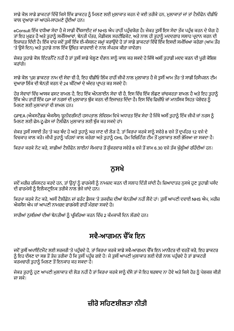ਸਾਡੇ ਕੋਲ ਸਾਡੇ ਡਾਕਟਰਾਂ ਵਿੱਚੋਂ ਕਿਸੇ ਇੱਕ ਡਾਕਟਰ ਨੂੰ ਮਿਲਣ ਲਈ ਮੁਲਾਕਾਤ ਕਰਨ ਦੇ ਕਈ ਤਰੀਕੇ ਹਨ, ਮੁਲਾਕਾਤਾਂ ਜਾਂ ਤਾਂ ਟੈਲੀਫੋਨ ਵੀਡੀਓ ਕਾਲ ਦੁਆਰਾ ਜਾਂ ਆਹਮੋ-ਸਾਹਮਣੇ ਹੰਦੀਆਂ ਹਨ।

eConsult ਇੱਕ ਵਧੀਆ ਸੇਵਾ ਹੈ ਜੋ ਸਾਡੀ ਵੈੱਬਸਾਈਟ ਜਾਂ NHS ਐਪ ਰਾਹੀਂ ਪਹੰਚਯੋਗ ਹੈ। ਜੇਕਰ ਤਸੀਂ ਇਸ ਸੇਵਾ ਤੱਕ ਪਹੰਚ ਕਰਨ ਦੇ ਯੋਗ ਹ ਤਾਂ ਇਹ ਮੁਫਤ ਹੈ ਅਤੇ ਤੁਹਾਨੂੰ ਸਮੱਸਿਆਵਾਂ, ਬੇਨਤੀ ਪੱਤਰ, ਮੈਡੀਕਲ ਸਰਟੀਫਿਕੇਟ, ਅਤੇ ਨਾਲ ਹੀ ਤੁਹਾਨੂੰ ਮਦਦਗਾਰ ਸਲਾਹ ਪ੍ਰਦਾਨ ਕਰਨ ਦੀ ਇਜਾਜ਼ਤ ਦਿੰਦੀ ਹੈ। ਇੱਕ ਵਾਰ ਜਦੋਂ ਤੁਸੀਂ ਇੱਕ ਈ-ਕੰਸਲਟ ਜਮ੍ਹਾਂ ਕਰਾਉਂਦੇ ਹੋ ਤਾਂ ਸਾਡੇ ਡਾਕਟਰਾਂ ਵਿੱਚੋਂ ਇੱਕ ਇਸਦੀ ਸਮੀਖਿਆ ਕਰੇਗਾ (ਆਮ ਤੌਰ 'ਤੇ ੳਸੇ ਦਿਨ) ਅਤੇ ਤਹਾਡੇ ਨਾਲ ਇੱਕ ੳਚਿਤ ਕਾਰਵਾਈ ਦੇ ਨਾਲ ਸੰਪਰਕ ਕੀਤਾ ਜਾਵੇਗਾ।

ਜੇਕਰ ਤਹਾਡੇ ਕੋਲ ਇੰਟਰਨੈੱਟ ਨਹੀਂ ਹੈ ਤਾਂ ਤਸੀਂ ਸਾਡੇ ਖੋਲਣ ਦੌਰਾਨ ਸਾਨੂੰ ਕਾਲ ਕਰ ਸਕਦੇ ਹੋ ਜਿੱਥੇ ਅਸੀਂ ਤਹਾਡੀ ਮਦਦ ਕਰਨ ਦੀ ਪੂਰੀ ਕੋਸ਼ਿਸ਼ ਕਰਾਂਗੇ।

ਸਾਡੇ ਕੋਲ 'ਪੁਸ਼ ਡਾਕਟਰ' ਨਾਮ ਦੀ ਸੇਵਾ ਵੀ ਹੈ, ਇਹ ਵੀਡੀਓ ਲਿੰਕ ਰਾਹੀਂ ਜੀਪੀ ਨਾਲ ਮੁਲਾਕਾਤ ਹੈ ਜੋ ਤੁਸੀਂ ਆਮ ਤੌਰ 'ਤੇ ਸਾਡੀ ਰਿਸੈਪਸ਼ਨ ਟੀਮ ਦੁਆਰਾ ਲਿੰਕ ਦੀ ਬੇਨਤੀ ਕਰਨ ਦੇ 24 ਘੰਟਿਆਂ ਦੇ ਅੰਦਰ ਪਾਪਤ ਕਰ ਸਕਦੇ ਹੋ।

ਹੋਰ ਸੇਵਾਵਾਂ ਵਿੱਚ ਆਸਕ ਫਸਟ ਸ਼ਾਮਲ ਹੈ. ਇਹ ਇੱਕ ਔਨਲਾਈਨ ਸੇਵਾ ਵੀ ਹੈ. ਇਸ ਵਿੱਚ ਇੱਕ ਲੱਛਣ ਜਾਂਚਕਰਤਾ ਸ਼ਾਮਲ ਹੈ ਅਤੇ ਇਹ ਤਹਾਨੰ ਇੱਕ ਐਪ ਰਾਹੀਂ ਇੱਕ GP ਜਾਂ ਨਰਸਾਂ ਦੀ ਮੁਲਾਕਾਤ ਬੁੱਕ ਕਰਨ ਦੀ ਇਜਾਜ਼ਤ ਦਿੰਦਾ ਹੈ। ਇਸ ਵਿੱਚ ਫਿਜ਼ੀਓ ਜਾਂ ਮਾਨਸਿਕ ਸਿਹਤ ਪੇਸ਼ੇਵਰ ਨੂੰ ਮਿਲਣ ਲਈ ਮਲਾਕਾਤਾਂ ਵੀ ਸ਼ਾਮਲ ਹਨ।

GPEA (ਐਕਸਟੈਂਡਡ ਐਕਸੈਸ) ਯੂਨੀਵਰਸਿਟੀ ਹਸਪਤਾਲ ਲੇਵਿਸ਼ਮ ਵਿਖੇ ਅਧਾਰਤ ਇੱਕ ਸੇਵਾ ਹੈ ਜਿੱਥੇ ਅਸੀਂ ਤਹਾਨੂੰ ਇੱਕ ਜੀਪੀ ਜਾਂ ਨਰਸ ਨੂੰ ਮਿਲਣ ਲਈ ਫੇਸ-ਟੂ-ਫੇਸ ਜਾਂ ਟੈਲੀਫੋਨ ਮਲਾਕਾਤ ਲਈ ਬੱਕ ਕਰ ਸਕਦੇ ਹਾਂ।

ਜੇਕਰ ਤਸੀਂ ਸਥਾਈ ਤੌਰ 'ਤੇ ਘਰ ਬੰਦ ਹੋ ਅਤੇ ਤਹਾਨੂੰ ਘਰ ਜਾਣ ਦੀ ਲੋੜ ਹੈ, ਤਾਂ ਕਿਰਪਾ ਕਰਕੇ ਸਾਨੂੰ ਸਵੇਰੇ 8 ਵਜੇ ਤੋਂ ਦਪਹਿਰ 12 ਵਜੇ ਦੇ ਵਿਚਕਾਰ ਕਾਲ ਕਰੋ। ਜੀਪੀ ਤਹਾਨੰ ਪਹਿਲਾਂ ਕਾਲ ਕਰੇਗਾ ਅਤੇ ਤਹਾਨੰ OHL ਹੋਮ ਵਿਜ਼ਿਟਿੰਗ ਟੀਮ ਤੋਂ ਮਲਾਕਾਤ ਲਈ ਭੇਜਿਆ ਜਾ ਸਕਦਾ ਹੈ।

ਕਿਰਪਾ ਕਰਕੇ ਨੋਟ ਕਰੋ, ਸਾਡੀਆਂ ਟੈਲੀਫੋਨ ਲਾਈਨਾਂ ਸੋਮਵਾਰ ਤੋਂ ਸ਼ੁੱਕਰਵਾਰ ਸਵੇਰੇ 8 ਵਜੇ ਤੋਂ ਸ਼ਾਮ 6.30 ਵਜੇ ਤੱਕ ਖੁੱਲ੍ਹੀਆਂ ਰਹਿੰਦੀਆਂ ਹਨ।

### ਨਸਖੇ

ਜਦੋਂ ਮਰੀਜ਼ ਰਜਿਸਟਰ ਕਰਦੇ ਹਨ, ਤਾਂ ਉਨ੍ਹਾਂ ਨੂੰ ਫਾਰਮੇਸੀ ਨੂੰ ਨਾਮਜ਼ਦ ਕਰਨ ਦੀ ਸਲਾਹ ਦਿੱਤੀ ਜਾਂਦੀ ਹੈ। ਜ਼ਿਆਦਾਤਰ ਨੁਸਖੇ ਹੁਣ ਤੁਹਾਡੀ ਪਸੰਦ ਦੀ ਫਾਰਮੇਸੀ ਨੂੰ ਇਲੈਕਟਾਨਿਕ ਤਰੀਕੇ ਨਾਲ ਭੇਜੇ ਜਾਂਦੇ ਹਨ।

ਕਿਰਪਾ ਕਰਕੇ ਨੋਟ ਕਰੋ, ਅਸੀਂ ਟੈਲੀਫ਼ੋਨ ਜਾਂ ਫਰੰਟ ਡੈਸਕ 'ਤੇ ਤਜਵੀਜ਼ ਦੀਆਂ ਬੇਨਤੀਆਂ ਨਹੀਂ ਲੈਂਦੇ ਹਾਂ। ਤੁਸੀਂ ਆਪਣੀ ਦਵਾਈ NHS ਐਪ, ਮਰੀਜ਼ ਐਕਸੈਸ ਐਪ ਜਾਂ ਆਪਣੀ ਨਾਮਜਦ ਫਾਰਮੇਸੀ ਰਾਹੀਂ ਮੰਗਵਾ ਸਕਦੇ ਹੋ।

ਸਾਰੀਆਂ ਨਸਖ਼ਿਆਂ ਦੀਆਂ ਬੇਨਤੀਆਂ ਨੂੰ ਪਕਿਰਿਆ ਕਰਨ ਵਿੱਚ 2 ਕੰਮਕਾਜੀ ਦਿਨ ਲੱਗਦੇ ਹਨ।

## ਸਵੈ-ਆਗਮਨ ਜੈੱਕ ਇਨ

ਜਦੋਂ ਤਸੀਂ ਅਪਾਇੰਟਮੈਂਟ ਲਈ ਸਰਜਰੀ 'ਤੇ ਪਹੰਚਦੇ ਹੋ, ਤਾਂ ਕਿਰਪਾ ਕਰਕੇ ਸਾਡੇ ਸਵੈ-ਆਗਮਨ ਚੈੱਕ ਇਨ ਮਾਨੀਟਰ ਦੀ ਵਰਤੋਂ ਕਰੋ, ਇਹ ਡਾਕਟਰ ਨੰ ਇਹ ਦੱਸਣ ਦਾ ਸਭ ਤੋਂ ਤੇਜ਼ ਤਰੀਕਾ ਹੈ ਕਿ ਤੁਸੀਂ ਪਹੰਚ ਗਏ ਹੋ। ਜੇ ਤੁਸੀਂ ਆਪਣੀ ਮਲਾਕਾਤ ਲਈ ਦੇਰੀ ਨਾਲ ਪਹੰਚਦੇ ਹੋ ਤਾਂ ਡਾਕਟਰੀ ਕਰਮਚਾਰੀ ਤਹਾਨੂੰ ਮਿਲਣ ਤੋਂ ਇਨਕਾਰ ਕਰ ਸਕਦਾ ਹੈ।

ਜੇਕਰ ਤਹਾਨੂੰ ਹੁਣ ਆਪਣੀ ਮਲਾਕਾਤ ਦੀ ਲੋੜ ਨਹੀਂ ਹੈ ਤਾਂ ਕਿਰਪਾ ਕਰਕੇ ਸਾਨੂੰ ਦੱਸੋ ਤਾਂ ਜੋ ਇਹ ਬਰਬਾਦ ਨਾ ਹੋਵੇ ਅਤੇ ਕਿਸੇ ਹੋਰ ਨੂੰ ਪੇਸ਼ਕਸ਼ ਕੀਤੀ ਜਾ ਸਕੇ।

## ਜ਼ੀਰੋ ਸਹਿਣਸ਼ੀਲਤਾ ਨੀਤੀ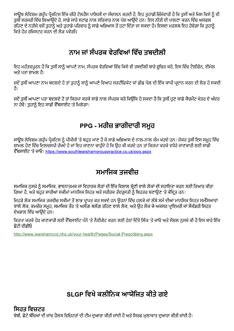ਸਾਊਥ ਲੇਵਿਸ਼ਮ ਗਰੁੱਪ ਪੈਕਟਿਸ ਇੱਕ ਜ਼ੀਰੋ ਟੋਲਰੈਂਸ ਪਾਲਿਸੀ ਦਾ ਸੰਚਾਲਨ ਕਰਦੀ ਹੈ, ਇਹ ਤੁਹਾਡੀ ਜ਼ਿੰਮੇਵਾਰੀ ਹੈ ਕਿ ਤੁਸੀਂ ਅਤੇ ਜਿਸ ਕਿਸੇ ਨੂੰ ਵੀ ਤਸੀਂ ਸਰਜਰੀ ਵਿੱਚ ਲਿਆਉਂਦੇ ਹੋ. ਸਾਡੇ ਸਾਰੇ ਸਟਾਫ਼ ਨਾਲ ਸਤਿਕਾਰ ਨਾਲ ਪੇਸ਼ ਆਉਂਦੇ ਹਨ। ਇਸ ਨੀਤੀ ਦੀ ਪਾਲਣਾ ਕਰਨ ਵਿੱਚ ਅਸਫਲ \_<br>ਰਹਿਣ ਦੇ ਨਤੀਜੇ ਵਜੋਂ ਤਹਾਨੂੰ ਅਤੇ ਤਹਾਡੇ ਪਰਿਵਾਰ ਨੂੰ ਸਾਡੇ ਅਭਿਆਸ ਤੋਂ ਹਟਾ ਦਿੱਤਾ ਜਾ ਸਕਦਾ ਹੈ। ਇਸਦਾ ਮਤਲਬ ਇਹ ਹੋਵੇਗਾ ਕਿ ਤਹਾਨੰ ਕਿਤੇ ਹੋਰ ਰਜਿਸਟਰ ਕਰਨ ਦੀ ਲੋੜ ਪਵੇਗੀ।

## ਨਾਮ ਜਾਂ ਸੰਪਰਕ ਵੇਰਵਿਆਂ ਵਿੱਚ ਤਬਦੀਲੀ

ਇਹ ਮਹੱਤਵਪੂਰਨ ਹੈ ਕਿ ਤਸੀਂ ਸਾਨੂੰ ਆਪਣੇ ਨਾਮ, ਸੰਪਰਕ ਵੇਰਵਿਆਂ ਵਿੱਚ ਕਿਸੇ ਵੀ ਤਬਦੀਲੀ ਬਾਰੇ ਸੂਚਿਤ ਕਰੋ, ਇਸ ਵਿੱਚ ਟੈਲੀਫੋਨ, ਈਮੇਲ ਅਤੇ ਪਤਾ ਸ਼ਾਮਲ ਹੈ।

ਜਦੋਂ ਤੁਸੀਂ ਆਪਣਾ ਨਾਮ ਬਦਲਦੇ ਹੋ ਤਾਂ ਤੁਹਾਨੂੰ ਸਾਨੂੰ ਆਪਣੇ ਵਿਆਹ ਸਰਟੀਫਿਕੇਟ ਜਾਂ ਡੀਡ ਪੋਲ ਦੀ ਇੱਕ ਕਾਪੀ ਪ੍ਰਦਾਨ ਕਰਨ ਦੀ ਲੋੜ ਹੋ ਸਕਦੀ तै।

ਜਦੋਂ ਤਸੀਂ ਆਪਣਾ ਪਤਾ ਬਦਲਦੇ ਹੋ ਤਾਂ ਕਿਰਪਾ ਕਰਕੇ ਸਾਡੇ ਨਾਲ ਸੰਪਰਕ ਕਰੋ ਕਿਉਂਕਿ ਹੋ ਸਕਦਾ ਹੈ ਕਿ ਤਸੀਂ ਹਣ ਸਾਡੇ ਕੈਚਮੈਂਟ ਖੇਤਰ ਦੇ ਅੰਦਰ ਨਾ ਹੋਵੋ। ਤੁਹਾਨੂੰ ਇਹ ਸਾਡੀ ਵੈੱਬਸਾਈਟ 'ਤੇ ਮਿਲੇਗਾ।

## PPG - ਮਰੀਜ਼ ਭਾਗੀਦਾਰੀ ਸਮੂਹ

ਸਾਉਥ ਲੇਵਿਸ਼ਮ ਗਰੱਪ ਪੈਕਟਿਸ ਨੂੰ ਪੀਪੀਜੀ 'ਤੇ ਬਹੁਤ ਮਾਣ ਹੈ ਜੋ ਸਾਡੇ ਅਭਿਆਸ ਦੇ ਨਾਲ-ਨਾਲ ਕੰਮ ਕਰਦੇ ਹਨ। ਜੇਕਰ ਤਸੀਂ ਇਸ ਸਮੂਹ ਵਿੱਚ ਸ਼ਾਮਲ ਹੋਣ ਵਿੱਚ ਦਿਲਚਸਪੀ ਰੱਖਦੇ ਹੋ ਜਾਂ ਇਹ ਜਾਣਨਾ ਚਾਹੰਦੇ ਹੋ ਕਿ ੳਹ ਕੀ ਕਰਦੇ ਹਨ ਤਾਂ ਕਿਰਪਾ ਕਰਕੇ ਵਧੇਰੇ ਜਾਣਕਾਰੀ ਲਈ ਸਾਡੀ ਵੈੱਬਸਾਈਟ 'ਤੇ ਜਾਓ। https://www.southlewishamgrouppractice.co.uk/ppg.aspx

## ਸਮਾਜਿਕ ਤਜਵੀਜ਼

ਸਮਾਜਿਕ ਨੁਸਖ਼ੇ ਨੂੰ ਸਮਾਜਿਕ, ਭਾਵਨਾਤਮਕ ਜਾਂ ਵਿਹਾਰਕ ਲੋੜਾਂ ਦੀ ਇੱਕ ਵਿਸ਼ਾਲ ਸ਼੍ਰੇਣੀ ਵਾਲੇ ਲੋਕਾਂ ਦੀ ਸਹਾਇਤਾ ਕਰਨ ਲਈ ਤਿਆਰ ਕੀਤਾ ਗਿਆ ਹੈ. ਅਤੇ ਬਹੁਤ ਸਾਰੀਆਂ ਸਕੀਮਾਂ ਮਾਨਸਿਕ ਸਿਹਤ ਅਤੇ ਸਰੀਰਕ ਤੰਦਰਸਤੀ ਨੌਂ ਬਿਹਤਰ ਬਣਾਉਣ 'ਤੇ ਕੇਂਦਿਤ ਹਨ।

ਜਿਹੜੇ ਲੋਕ ਸਮਾਜਿਕ ਤਜਵੀਜ਼ ਸਕੀਮਾਂ ਤੋਂ ਲਾਭ ਪ੍ਰਾਪਤ ਕਰ ਸਕਦੇ ਹਨ ਉਹਨਾਂ ਵਿੱਚ ਹਲਕੇ ਜਾਂ ਲੰਬੇ ਸਮੇਂ ਦੀਆਂ ਮਾਨਸਿਕ ਸਿਹਤ ਸਮੱਸਿਆਵਾਂ ਵਾਲੇ ਲੋਕ. ਕਮਜ਼ੋਰ ਸਮਹ. ਸਮਾਜਿਕ ਤੌਰ 'ਤੇ ਅਲੌਗ-ਥਲੱਗ ਰਹਿਣ ਵਾਲੇ ਲੋਕ. ਅਤੇ ੳਹ ਲੋਕ ਜੋ ਅਕਸਰ ਪਾਇਮਰੀ ਜਾਂ ਸੈਕੰਡਰੀ ਸਿਹਤ ਦੇਖਭਾਲ ਵਿੱਚ ਆਉਂਦੇ ਹਨ।

ਕਿਰਪਾ ਕਰਕੇ ਹੋਰ ਜਾਣਕਾਰੀ ਲਈ ਵੈੱਬਸਾਈਟ ਪੰਨੇ 'ਤੇ ਨੈਵੀਗੇਟ ਕਰਨ ਲਈ ਹੇਠਾਂ ਦਿੱਤੇ ਲਿੰਕ 'ਤੇ ਜਾਓ ਅਤੇ ਸੋਸ਼ਲ ਨਸਖੇ ਕੀ ਹੈ ਇਸ ਬਾਰੇ ਇੱਕ ਛੋਟੀ ਵੀਡੀਓ

http://www.lewishamccg.nhs.uk/your-health/Pages/Social-Prescribing.aspx

## SLGP ਵਿਖੇ ਕਲੀਨਿਕ ਆਯੋਜਿਤ ਕੀਤੇ ਗਏ

ਸਿਹਤ ਵਿਜਟਰ ਬੇਬੀ, ਛੋਟੇ ਬੱਚਿਆਂ ਦੀ ਜਾਂਚ ਹੈਲਥ ਵਿਜ਼ਿਟਰਾਂ ਦੀ ਟੀਮ ਦਆਰਾ ਕੀਤੀ ਜਾਂਦੀ ਹੈ ਅਤੇ ਸਿਰਫ ਮਲਾਕਾਤ ਦਆਰਾ ਕੀਤੀ ਜਾਂਦੀ ਹੈ।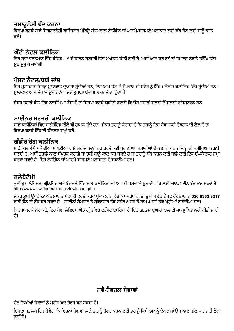### ਤਮਾਕਨੋਸ਼ੀ ਬੰਦ ਕਰਨਾ

ਕਿਰਪਾ ਕਰਕੇ ਸਾਡੇ ਸਿਗਰਟਨੋਸ਼ੀ ਕਾਉਂਸਲਰ ਮੈਥਿਉ ਸੀਲ ਨਾਲ ਟੈਲੀਫੋਨ ਜਾਂ ਆਹਮੋ-ਸਾਹਮਣੇ ਮਲਾਕਾਤ ਲਈ ਬੱਕ ਹੋਣ ਲਈ ਸਾਨੰ ਕਾਲ ਕਰੋ।

### ਐਂਟੀ ਨੇਟਲ ਕਲੀਨਿਕ

ਇਹ ਸੇਵਾ ਵਰਤਮਾਨ ਵਿੱਚ ਕੋਵਿਡ -19 ਦੇ ਕਾਰਨ ਸਰਜਰੀ ਵਿੱਚ ਮਅੱਤਲ ਕੀਤੀ ਗਈ ਹੈ. ਅਸੀਂ ਆਸ ਕਰ ਰਹੇ ਹਾਂ ਕਿ ਇਹ ਨੇੜਲੇ ਭਵਿੱਖ ਵਿੱਚ ਮੁੜ ਸ਼ੁਰੂ ਹੋ ਜਾਵੇਗੀ।

### ਪੋਸਟ ਨੈਟਲ/ਬੇਬੀ ਜਾਂਜ

ਇਹ ਮੁਲਾਕਾਤਾਂ ਸਿਰਫ਼ ਮੁਲਾਕਾਤ ਦੁਆਰਾ ਹੁੰਦੀਆਂ ਹਨ, ਇਹ ਆਮ ਤੌਰ 'ਤੇ ਸੋਮਵਾਰ ਦੀ ਸਵੇਰ ਨੂੰ ਇੱਕ ਮਨੋਨੀਤ ਕਲੀਨਿਕ ਵਿੱਚ ਹੁੰਦੀਆਂ ਹਨ। ਮਲਾਕਾਤ ਆਮ ਤੌਰ 'ਤੇ ੳਦੋਂ ਹੋਵੇਗੀ ਜਦੋਂ ਤਹਾਡਾ ਬੱਚਾ 6-8 ਹਫ਼ਤੇ ਦਾ ਹੰਦਾ ਹੈ।

ਜੇਕਰ ਤਹਾਡੇ ਕੋਲ ਇੱਕ ਨਵਜੰਮਿਆ ਬੱਚਾ ਹੈ ਤਾਂ ਕਿਰਪਾ ਕਰਕੇ ਯਕੀਨੀ ਬਣਾਓ ਕਿ ਉਹ ਤਹਾਡੀ ਜਲਦੀ ਤੋਂ ਜਲਦੀ ਰਜਿਸਟਰਡ ਹਨ।

### ਮਾਈਨਰ ਸਰਜਰੀ ਕਲੀਨਿਕ

ਸਾਡੇ ਕਲੀਨਿਕਾਂ ਵਿੱਚ ਸਟੀਰੌਇਡ ਟੀਕੇ ਵੀ ਸ਼ਾਮਲ ਹੰਦੇ ਹਨ। ਜੇਕਰ ਤਹਾਨੰ ਲੱਗਦਾ ਹੈ ਕਿ ਤਹਾਨੰ ਇਸ ਸੇਵਾ ਲਈ ਰੈਫਰਲ ਦੀ ਲੋੜ ਹੈ ਤਾਂ ਕਿਰਪਾ ਕਰਕੇ ਇੱਕ ਈ-ਕੌਂਸਲਟ ਜਮ੍ਹਾਂ ਕਰੋ।

### ਗੰਭੀਰ ਰੋਗ ਕਲੀਨਿਕ

ਸਾਡੇ ਕੋਲ ਲੰਬੇ ਸਮੇਂ ਦੀਆਂ ਸਥਿਤੀਆਂ ਵਾਲੇ ਮਰੀਜ਼ਾਂ ਲਈ ਹਰ ਹਫ਼ਤੇ ਕਈ ਪੁਰਾਣੀਆਂ ਬਿਮਾਰੀਆਂ ਦੇ ਕਲੀਨਿਕ ਹਨ ਜਿਨ੍ਹਾਂ ਦੀ ਸਮੀਖਿਆ ਕਰਨੀ ਬਣਦੀ ਹੈ। ਅਸੀਂ ਤਹਾਡੇ ਨਾਲ ਸੰਪਰਕ ਕਰਾਂਗੇ ਜਾਂ ਤਸੀਂ ਸਾਨੂੰ ਕਾਲ ਕਰ ਸਕਦੇ ਹੋ ਜਾਂ ਤਹਾਨੂੰ ਬੱਕ ਕਰਨ ਲਈ ਸਾਡੇ ਲਈ ਇੱਕ ਈ-ਕੰਸਲਟ ਜਮਾਂ ਕਰਵਾ ਸਕਦੇ ਹੋ। ਇਹ ਟੈਲੀਫ਼ੋਨ ਜਾਂ ਆਹਮੋ-ਸਾਹਮਣੇ ਮਲਾਕਾਤਾਂ ਹੋ ਸਕਦੀਆਂ ਹਨ।

### ਫਲੇਬੋਟੋਮੀ

ਤਸੀਂ ਹੁਣ ਲੇਵਿਸ਼ਮ, ਗੀਨਵਿਚ ਅਤੇ ਬੇਕਸਲੇ ਵਿੱਚ ਸਾਡੇ ਕਲੀਨਿਕਾਂ ਦੀ ਆਪਣੀ ਪਸੰਦ 'ਤੇ ਖਨ ਦੀ ਜਾਂਚ ਲਈ ਆਨਲਾਈਨ ਬੱਕ ਕਰ ਸਕਦੇ ਹੋ। https://www.swiftqueue.co.uk/lewisham.php

ਜੇਕਰ ਤਸੀਂ ੳਪਰੋਕਤ ਔਨਲਾਈਨ ਸੇਵਾ ਦੀ ਵਰਤੋਂ ਕਰਕੇ ਬੱਕ ਕਰਨ ਵਿੱਚ ਅਸਮਰੱਥ ਹੋ. ਤਾਂ ਤਸੀਂ ਬਲੱਡ ਟੈਸਟ ਹੌਟਲਾਈਨ: 020 8333 3217 ਰਾਹੀਂ ਫੋਨ 'ਤੇ ਬੱਕ ਕਰ ਸਕਦੇ ਹੋ । ਲਾਈਨਾਂ ਸੋਮਵਾਰ ਤੋਂ ਸ਼ੱਕਰਵਾਰ ਤੱਕ ਸਵੇਰੇ 8 ਵਜੇ ਤੋਂ ਸ਼ਾਮ 4 ਵਜੇ ਤੱਕ ਖੱਲੀਆਂ ਰਹਿੰਦੀਆਂ ਹਨ।

ਕਿਰਪਾ ਕਰਕੇ ਨੋਟ ਕਰੋ. ਇਹ ਸੇਵਾ ਲੇਵਿਸ਼ਮ ਐਂਡ ਗੀਨਵਿਚ ਟਰੱਸਟ ਦਾ ਹਿੱਸਾ ਹੈ. ਇਹ SLGP ਦਆਰਾ ਚਲਾਈ ਜਾਂ ਪਬੰਧਿਤ ਨਹੀਂ ਕੀਤੀ ਜਾਂਦੀ तै।

### ਸਵੈ-ਰੈਫਰਲ ਸੇਵਾਵਾਂ

ਹੇਠ ਲਿਖੀਆਂ ਸੇਵਾਵਾਂ ਨੂੰ ਮਰੀਜ਼ ਖਦ ਰੈਫਰ ਕਰ ਸਕਦਾ ਹੈ।

ਇਸਦਾ ਮਤਲਬ ਇਹ ਹੋਵੇਗਾ ਕਿ ਇਹਨਾਂ ਸੇਵਾਵਾਂ ਲਈ ਤਹਾਨੂੰ ਰੈਫਰ ਕਰਨ ਲਈ ਤਹਾਨੂੰ ਕਿਸੇ GP ਨੂੰ ਦੇਖਣ ਜਾਂ ਉਸ ਨਾਲ ਗੱਲ ਕਰਨ ਦੀ ਲੋੜ ਨਹੀਂ ਹੈ।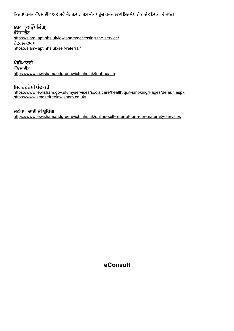ି । ଏଏଏ ଏଏ । ସେମ୍ବାଧାଠ ଜଣ ମହ-ଏସେଡ ଟ୍ୟୁମ ଏଏ ଏଠିନ ଏସଠ ଡିଆ । ମସିଡ଼ିଏ ଏଠା । ସେ ।ଡିଏ । ଏଏ ।

IAPT (ਕਾਊਂਸਲਿੰਗ) ਕਿਰਪਾ ਕਰਕੇ ਵੈੱਬਸਾਈਟ ਅਤੇ ਸਵੈ-<br>**IAPT (ਕਾਉਂਸਲਿੰਗ)**<br>ਵੈੱਬਸਾਈਟ<br><u>https://slam-iapt.nhs.uk/lewis</u><br>ਰੈਫਰਲ ਫਾਰਮ<br>https://slam-iapt.nhs.uk/self-l<br>**ਪੋਡੀਆਟਰੀ**<br>ਵੈੱਬਸਾਈਟ ਵਖਮਾਈਟ<br>.... https://slam-iapt.nhs.uk/lewisham/accessing-the-service/  $q$ ega e $q$ ah https://slam-iapt.nhs.uk/self-referral/

#### G ี<br>พั

ਵਖਮਾਈਟ<br>.... https://www.lewishamandgreenwich.nhs.uk/foot-health

### ਸਿਗਰਟਨੋਸ਼ੀ ਬੰਦ ਕਰੋ

https://www.lewisham.gov.uk/myservices/socialcare/health/quit-smoking/Pages/default.aspx https://www.smokefreelewisham.co.uk/

 $\overline{\phantom{a}}$  $H$ CH, - CICI CI giodi

https://www.lewishamandgreenwich.nhs.uk/online-self-referral-form-for-maternity-services

eConsult